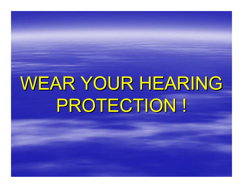# WEAR YOUR HEARING PROTECTION !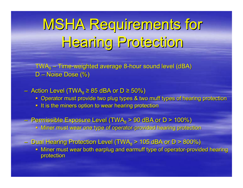# MSHA Requirements for MSHA Requirements for Hearing Protection Hearing Protection

TWA<sub>s</sub> – Time-weighted average 8-hour sound level (dBA) D – Noise Dose (%)

 $-$  Action Level (TWA $_{8}$  ≥ 85 dBA or D ≥ 50%)

- Operator must provide two plug types & two muff types of hearing protection
- $\blacksquare$  It is the miners option to wear hearing protection
- $-$  Permissible Exposure Level (TWA $_{8}$  > 90 dBA or D > 100%)
	- **Miner must wear one type of operator-provided hearing protection**

— Dual Hearing Protection Level (TWA<sub>8</sub> > 105 dBA or D > 800%)

I Miner must wear both earplug and earmuff type of operator-provided hearing protection protection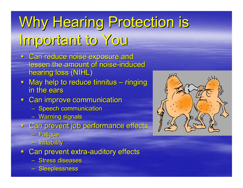# Why Hearing Protection is Why Hearing Protection is Important to You Important to You

- **EXECAN FROUCE NOISE EXPOSURE and** lessen the amount of noise-induced hearing loss (NIHL)
- $\blacksquare$  May help to reduce tinnitus ringing in the ears
- **Can improve communication** 
	- Speech communication
	- Warning signals
- **E** Can prevent job performance effects
	- Fatigue
	- Irritability
- **EXECAN prevent extra-auditory effects** 
	- Stress diseases
	- Sleeplessness

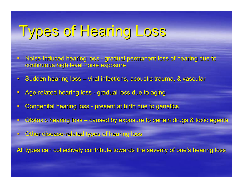# Types of Hearing Loss Types of Hearing Loss

- $\blacksquare$ Noise-induced hearing loss - gradual permanent loss of hearing due to continuous high level noise exposure
- $\blacksquare$ Sudden hearing loss – viral infections, acoustic trauma, & vascular
- $\blacksquare$ Age-related hearing loss - gradual loss due to aging
- $\blacksquare$ Congenital hearing loss - present at birth due to genetics
- $\blacksquare$ ■ Ototoxic hearing loss – caused by exposure to certain drugs & toxic agents
- **Diher disease-related types of hearing loss**

All types can collectively contribute towards the severity of one's hearing loss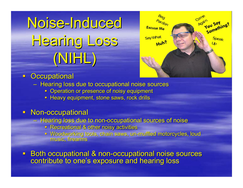# Noise-Induced Hearing Loss Hearing Loss (NIHL)



#### **Decupational**

- Hearing loss due to occupational noise sources
	- Operation or presence of noisy equipment
	- Heavy equipment, stone saws, rock drills

#### T **Non-occupational**

- Hearing loss due to non-occupational sources of noise
	- **Recreational & other noisy activities**
	- Woodworking tools, chain saws, un Woodworking tools, chain saws, un-muffled motorcycles, loud muffled motorcycles, loud music, firearms music, firearms

 $\blacksquare$ Both occupational & non-occupational noise sources contribute to one's exposure and hearing loss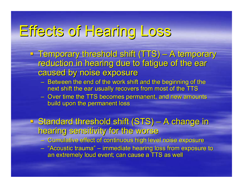## Effects of Hearing Loss Effects of Hearing Loss

- $\blacksquare$  Temporary threshold shift (TTS) A temporary reduction in hearing due to fatigue of the ear caused by noise exposure
	- Between the end of the work shift and the beginning of the next shift the ear usually recovers from most of the TTS
	- Over time the TTS becomes permanent, and new amounts build upon the permanent loss
- Standard threshold shift (STS) A change in hearing sensitivity for the worse
	- Cumulative effect of continuous high level noise exposure
	- "Acoustic trauma" immediate hearing loss from exposure to i an extremely loud event; can cause a TTS as well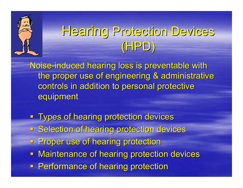

# Hearing Hearing Protection Devices Protection Devices (HPD)

Noise-induced hearing loss is preventable with the proper use of engineering & administrative controls in addition to personal protective equipment

**Exters of hearing protection devices E** Selection of hearing protection devices **Proper use of hearing protection • Maintenance of hearing protection devices Performance of hearing protection**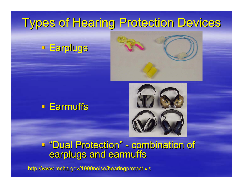### Types of Hearing Protection Devices Types of Hearing Protection Devices

#### <u>≖ Earplugs</u>







#### **E** "Dual Protection" -- combination of earplugs and earmuffs

http://www.msha.gov/1999noise/hearingprotect.xls http://www.msha.gov/1999noise/hearingprotect.xls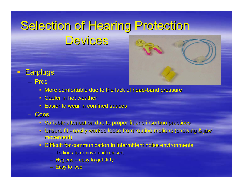## Selection of Hearing Protection Devices



#### **Earplugs**

- Pros
	- **More comfortable due to the lack of head-band pressure**
	- **Example Cooler in hot weather**
	- **Easier to wear in confined spaces**
- Cons
	- **D** Variable attenuation due to proper fit and insertion practices
	- Unsure fit Unsure fit easily worked loose from routine motions (chewing & jaw easily worked loose from routine motions (chewing & jaw movement) movement)
	- **Difficult for communication in intermittent noise environments** 
		- $-$  Tedious to remove and reinsert
		- Hygiene easy to get dirty
		- Easy to lose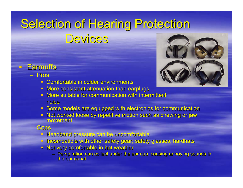## Selection of Hearing Protection Devices

#### **Earmuffs**

- Pros
	- **Comfortable in colder environments**
	- **More consistent attenuation than earplugs**
	- **More suitable for communication with intermittent More suitable for communication with intermittent** noise
	- Some models are equipped with electronics for communication
	- Not worked loose by repetitive motion such as chewing or jaw movement

#### – Cons

- Headband pressure can be uncomfortable Headband pressure can be uncomfortable
- **Incompatible with other safety gear; safety glasses, hardhats**
- Not very comfortable in hot weather
	- Perspiration can collect under the ear cup, causing annoying sounds in<br>the ear canal the ear canal

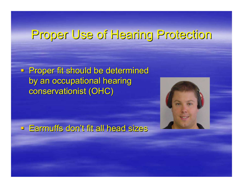### Proper Use of Hearing Protection Proper Use of Hearing Protection

**Proper fit should be determined** by an occupational hearing conservationist (OHC)

□ Earmuffs don't fit all head sizes

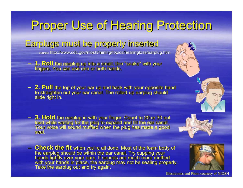## Proper Use of Hearing Protection Proper Use of Hearing Protection

#### Earplugs must be properly inserted Earplugs must be properly inserted

source: http://www.cdc.gov/niosh/mining/topics/hearingloss/earplug.htm

- $\sim$  1. Roll the earplug up into a small, thin "snake" with your fingers. You can use one or both hands.
- $-$  **2. Pull** the top of your ear up and back with your opposite hand to straighten out your ear canal. The rolled-up earplug should<br>slide right in.
- $-$  **3. Hold** the earplug in with your finger. Count to 20 or 30 out loud while waiting for the plug to expand and fill the ear canal.<br>Your voice will sound muffled when the plug has made a good<br>seal.
- $\blacksquare$  **Check the fit** when you're all done. Most of the foam body of with your hands in place, the earplug may not be sealing properly.<br>Take the earplug out and try again.





Illustrations and Photo courtesy of NIOSH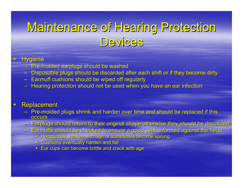## Maintenance of Hearing Protection Maintenance of Hearing Protection Devices

#### **Hygiene**

 $\blacksquare$ 

- $-$  Pre-molded earplugs should be washed
- Disposable plugs should be discarded after each shift or if they become dirty
- Earmuff cushions should be wiped off regularly
- Hearing protection should not be used when you have an ear infection

#### Ξ **Replacement**

- Pre-molded plugs shrink and harden over time and should be replaced if this occurs
- Earplugs should return to their original shape otherwise they should be discarded
- Earmuffs should be checked to ensure a good seal is formed against the head
	- **Headbands weaken with age or sometimes become sprung** until
	- **Cushions eventually harden and fail**
	- **Ear cups can become brittle and crack with age in Ear cups can become brittle and crack with age**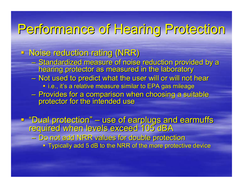## Performance of Hearing Protection Performance of Hearing Protection

 $\blacksquare$  Noise reduction rating (NRR)

- Standardized measure of noise reduction provided by a hearing protector as measured in the laboratory
- $-$  Not used to predict what the user will or will not hear  $\blacksquare$  i.e., it's a relative measure similar to EPA gas mileage
- Provides for a comparison when choosing a suitable protector for the intended use

**E** "Dual protection" **:** "Dual protection" – use of earplugs and earmuffs<br>required when levels exceed 105 dBA – Do not add NRR values for double protection **Typically add 5 dB to the NRR of the more protective device of the more protective device**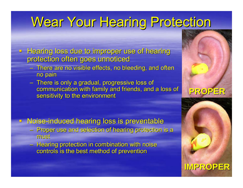## Wear Your Hearing Protection

Hearing loss due to improper use of hearing protection often goes unnoticed

- There are no visible effects, no bleeding, and often no pain
- There is only a gradual, progressive loss of communication with family and friends, and a loss of sensitivity to the environment

- **E** Noise-induced hearing loss is preventable
	- Proper use and selection of hearing protection is a must
	- $-$  Hearing protection in combination with noise  $\overline{\phantom{a}}$ controls is the best method of prevention

#### **PROPER**

**IMPROPER IMPROPER**